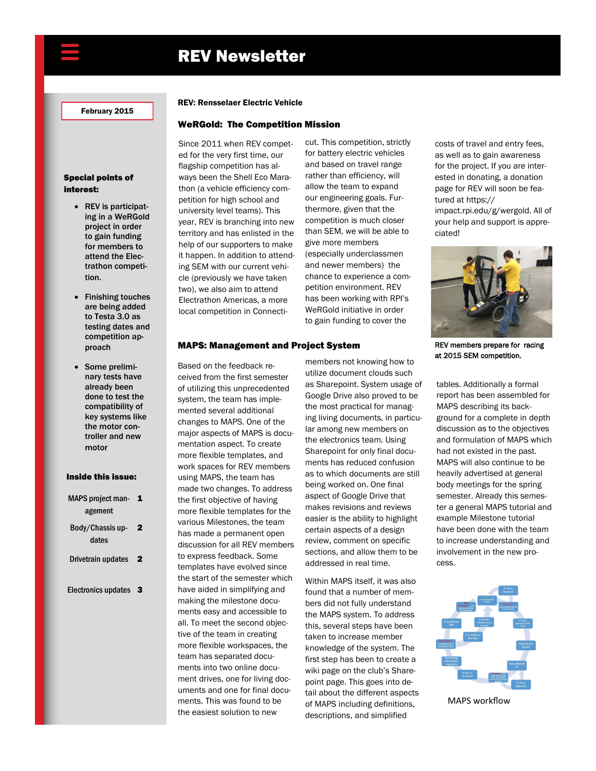# REV Newsletter

February 2015

### Special points of interest:

- REV is participating in a WeRGold project in order to gain funding for members to attend the Electrathon competition.
- Finishing touches are being added to Testa 3.0 as testing dates and competition approach
- Some preliminary tests have already been done to test the compatibility of key systems like the motor controller and new motor

### Inside this issue:

- MAPS project man<br>
1 agement
- Body/Chassis up2 dates
- Drivetrain updates 2
- Electronics updates 3

### REV: Rensselaer Electric Vehicle

### WeRGold: The Competition Mission

Since 2011 when REV competed for the very first time, our flagship competition has always been the Shell Eco Marathon (a vehicle efficiency competition for high school and university level teams). This year, REV is branching into new territory and has enlisted in the help of our supporters to make it happen. In addition to attending SEM with our current vehicle (previously we have taken two), we also aim to attend Electrathon Americas, a more local competition in Connecticut. This competition, strictly for battery electric vehicles and based on travel range rather than efficiency, will allow the team to expand our engineering goals. Furthermore, given that the competition is much closer than SEM, we will be able to give more members (especially underclassmen and newer members) the chance to experience a competition environment. REV has been working with RPI's WeRGold initiative in order to gain funding to cover the

costs of travel and entry fees, as well as to gain awareness for the project. If you are interested in donating, a donation page for REV will soon be featured at https://

impact.rpi.edu/g/wergold. All of your help and support is appreciated!



REV members prepare for racing at 2015 SEM competition.

tables. Additionally a formal report has been assembled for MAPS describing its background for a complete in depth discussion as to the objectives and formulation of MAPS which had not existed in the past. MAPS will also continue to be heavily advertised at general body meetings for the spring semester. Already this semester a general MAPS tutorial and example Milestone tutorial have been done with the team to increase understanding and involvement in the new process.



MAPS workflow

### MAPS: Management and Project System

Based on the feedback received from the first semester of utilizing this unprecedented system, the team has implemented several additional changes to MAPS. One of the major aspects of MAPS is documentation aspect. To create more flexible templates, and work spaces for REV members using MAPS, the team has made two changes. To address the first objective of having more flexible templates for the various Milestones, the team has made a permanent open discussion for all REV members to express feedback. Some templates have evolved since the start of the semester which have aided in simplifying and making the milestone documents easy and accessible to all. To meet the second objective of the team in creating more flexible workspaces, the team has separated documents into two online document drives, one for living documents and one for final documents. This was found to be the easiest solution to new

members not knowing how to utilize document clouds such as Sharepoint. System usage of Google Drive also proved to be the most practical for managing living documents, in particular among new members on the electronics team. Using Sharepoint for only final documents has reduced confusion as to which documents are still being worked on. One final aspect of Google Drive that makes revisions and reviews easier is the ability to highlight certain aspects of a design review, comment on specific sections, and allow them to be addressed in real time.

Within MAPS itself, it was also found that a number of members did not fully understand the MAPS system. To address this, several steps have been taken to increase member knowledge of the system. The first step has been to create a wiki page on the club's Sharepoint page. This goes into detail about the different aspects of MAPS including definitions, descriptions, and simplified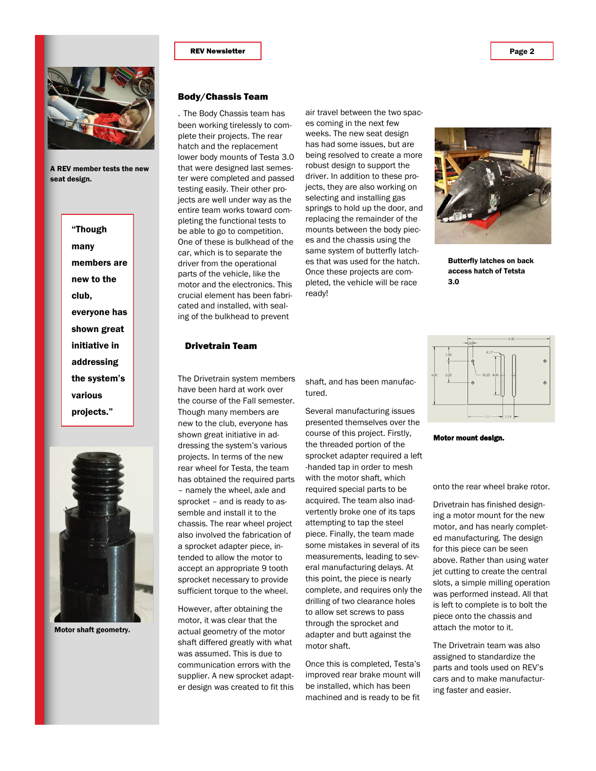

A REV member tests the new seat design.





Motor shaft geometry.

## Body/Chassis Team

. The Body Chassis team has been working tirelessly to complete their projects. The rear hatch and the replacement lower body mounts of Testa 3.0 that were designed last semester were completed and passed testing easily. Their other projects are well under way as the entire team works toward completing the functional tests to be able to go to competition. One of these is bulkhead of the car, which is to separate the driver from the operational parts of the vehicle, like the motor and the electronics. This crucial element has been fabricated and installed, with sealing of the bulkhead to prevent

air travel between the two spaces coming in the next few weeks. The new seat design has had some issues, but are being resolved to create a more robust design to support the driver. In addition to these projects, they are also working on selecting and installing gas springs to hold up the door, and replacing the remainder of the mounts between the body pieces and the chassis using the same system of butterfly latches that was used for the hatch. Once these projects are completed, the vehicle will be race ready!



Butterfly latches on back access hatch of Tetsta 3.0

### Drivetrain Team

The Drivetrain system members have been hard at work over the course of the Fall semester. Though many members are new to the club, everyone has shown great initiative in addressing the system's various projects. In terms of the new rear wheel for Testa, the team has obtained the required parts – namely the wheel, axle and sprocket – and is ready to assemble and install it to the chassis. The rear wheel project also involved the fabrication of a sprocket adapter piece, intended to allow the motor to accept an appropriate 9 tooth sprocket necessary to provide sufficient torque to the wheel.

However, after obtaining the motor, it was clear that the actual geometry of the motor shaft differed greatly with what was assumed. This is due to communication errors with the supplier. A new sprocket adapter design was created to fit this shaft, and has been manufactured.

Several manufacturing issues presented themselves over the course of this project. Firstly, the threaded portion of the sprocket adapter required a left -handed tap in order to mesh with the motor shaft, which required special parts to be acquired. The team also inadvertently broke one of its taps attempting to tap the steel piece. Finally, the team made some mistakes in several of its measurements, leading to several manufacturing delays. At this point, the piece is nearly complete, and requires only the drilling of two clearance holes to allow set screws to pass through the sprocket and adapter and butt against the motor shaft.

Once this is completed, Testa's improved rear brake mount will be installed, which has been machined and is ready to be fit



Motor mount design.

onto the rear wheel brake rotor.

Drivetrain has finished designing a motor mount for the new motor, and has nearly completed manufacturing. The design for this piece can be seen above. Rather than using water jet cutting to create the central slots, a simple milling operation was performed instead. All that is left to complete is to bolt the piece onto the chassis and attach the motor to it.

The Drivetrain team was also assigned to standardize the parts and tools used on REV's cars and to make manufacturing faster and easier.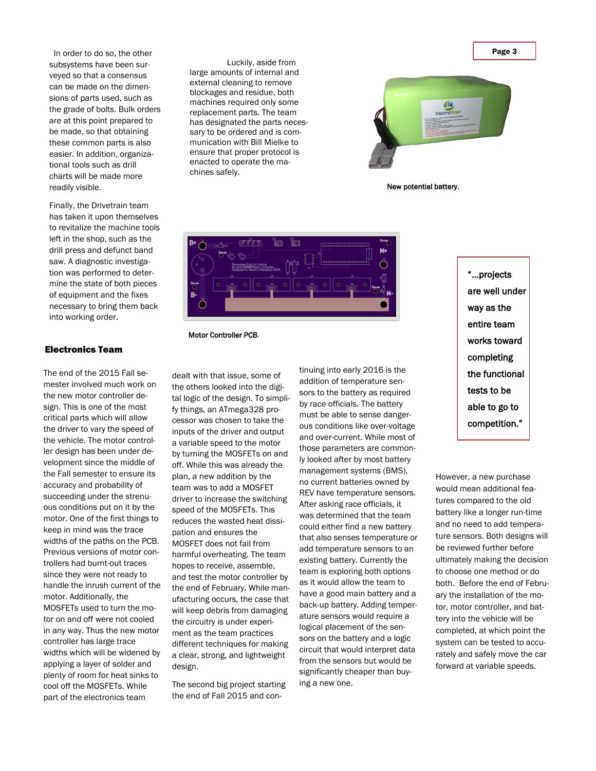Page 3

 In order to do so, the other subsystems have been surveyed so that a consensus can be made on the dimensions of parts used, such as the grade of bolts. Bulk orders are at this point prepared to be made, so that obtaining these common parts is also easier. In addition, organizational tools such as drill charts will be made more readily visible.

Finally, the Drivetrain team has taken it upon themselves to revitalize the machine tools left in the shop, such as the drill press and defunct band saw. A diagnostic investigation was performed to determine the state of both pieces of equipment and the fixes necessary to bring them back into working order.

### Electronics Team

The end of the 2015 Fall semester involved much work on the new motor controller design. This is one of the most critical parts which will allow the driver to vary the speed of the vehicle. The motor controller design has been under development since the middle of the Fall semester to ensure its accuracy and probability of succeeding under the strenuous conditions put on it by the motor. One of the first things to keep in mind was the trace widths of the paths on the PCB. Previous versions of motor controllers had burnt-out traces since they were not ready to handle the inrush current of the motor. Additionally, the MOSFETs used to turn the motor on and off were not cooled in any way. Thus the new motor controller has large trace widths which will be widened by applying a layer of solder and plenty of room for heat sinks to cool off the MOSFETs. While part of the electronics team

Luckily, aside from large amounts of internal and external cleaning to remove blockages and residue, both machines required only some replacement parts. The team has designated the parts necessary to be ordered and is communication with Bill Mielke to ensure that proper protocol is enacted to operate the machines safely.



New potential battery.



Motor Controller PCB.

dealt with that issue, some of the others looked into the digital logic of the design. To simplify things, an ATmega328 processor was chosen to take the inputs of the driver and output a variable speed to the motor by turning the MOSFETs on and off. While this was already the plan, a new addition by the team was to add a MOSFET driver to increase the switching speed of the MOSFETs. This reduces the wasted heat dissipation and ensures the MOSFET does not fail from harmful overheating. The team hopes to receive, assemble, and test the motor controller by the end of February. While manufacturing occurs, the case that will keep debris from damaging the circuitry is under experiment as the team practices different techniques for making a clear, strong, and lightweight design.

The second big project starting the end of Fall 2015 and con-

tinuing into early 2016 is the addition of temperature sensors to the battery as required by race officials. The battery must be able to sense dangerous conditions like over-voltage and over-current. While most of those parameters are commonly looked after by most battery management systems (BMS), no current batteries owned by REV have temperature sensors. After asking race officials, it was determined that the team could either find a new battery that also senses temperature or add temperature sensors to an existing battery. Currently the team is exploring both options as it would allow the team to have a good main battery and a back-up battery. Adding temperature sensors would require a logical placement of the sensors on the battery and a logic circuit that would interpret data from the sensors but would be significantly cheaper than buying a new one.

"...projects are well under way as the entire team works toward completing the functional tests to be able to go to competition."

However, a new purchase would mean additional features compared to the old battery like a longer run-time and no need to add temperature sensors. Both designs will be reviewed further before ultimately making the decision to choose one method or do both. Before the end of February the installation of the motor, motor controller, and battery into the vehicle will be completed, at which point the system can be tested to accurately and safely move the car forward at variable speeds.